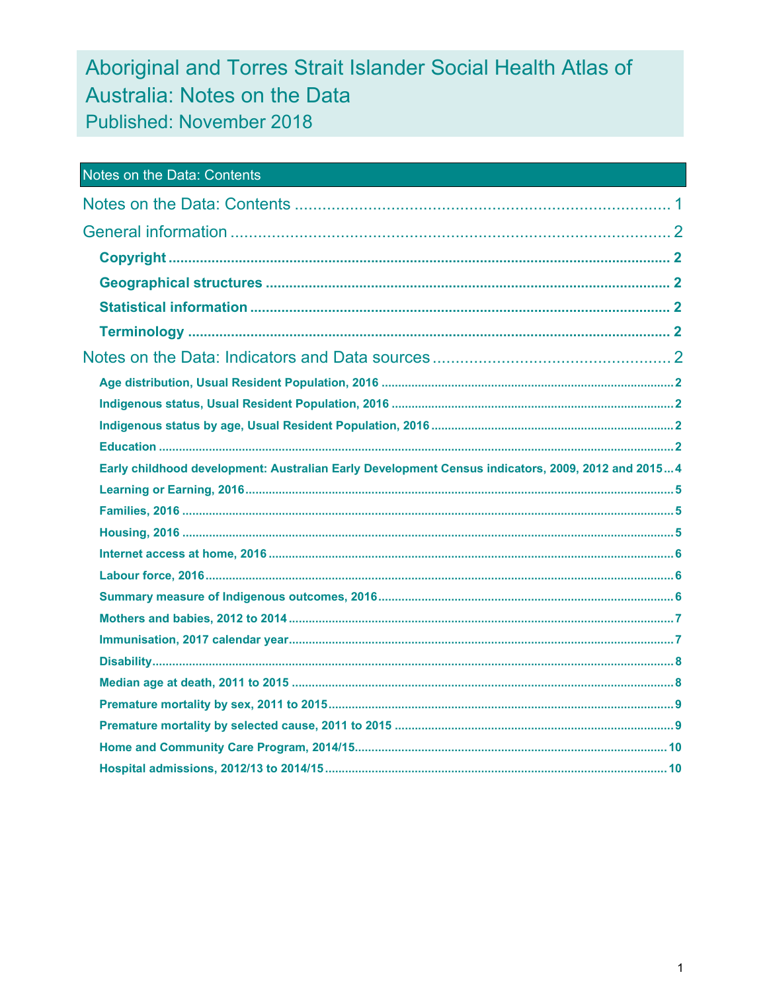# Aboriginal and Torres Strait Islander Social Health Atlas of Australia: Notes on the Data Published: November 2018

| <b>Notes on the Data: Contents</b>                                                                |  |
|---------------------------------------------------------------------------------------------------|--|
|                                                                                                   |  |
|                                                                                                   |  |
|                                                                                                   |  |
|                                                                                                   |  |
|                                                                                                   |  |
|                                                                                                   |  |
|                                                                                                   |  |
|                                                                                                   |  |
|                                                                                                   |  |
|                                                                                                   |  |
|                                                                                                   |  |
| Early childhood development: Australian Early Development Census indicators, 2009, 2012 and 20154 |  |
|                                                                                                   |  |
|                                                                                                   |  |
|                                                                                                   |  |
|                                                                                                   |  |
|                                                                                                   |  |
|                                                                                                   |  |
|                                                                                                   |  |
|                                                                                                   |  |
|                                                                                                   |  |
|                                                                                                   |  |
|                                                                                                   |  |
|                                                                                                   |  |
|                                                                                                   |  |
|                                                                                                   |  |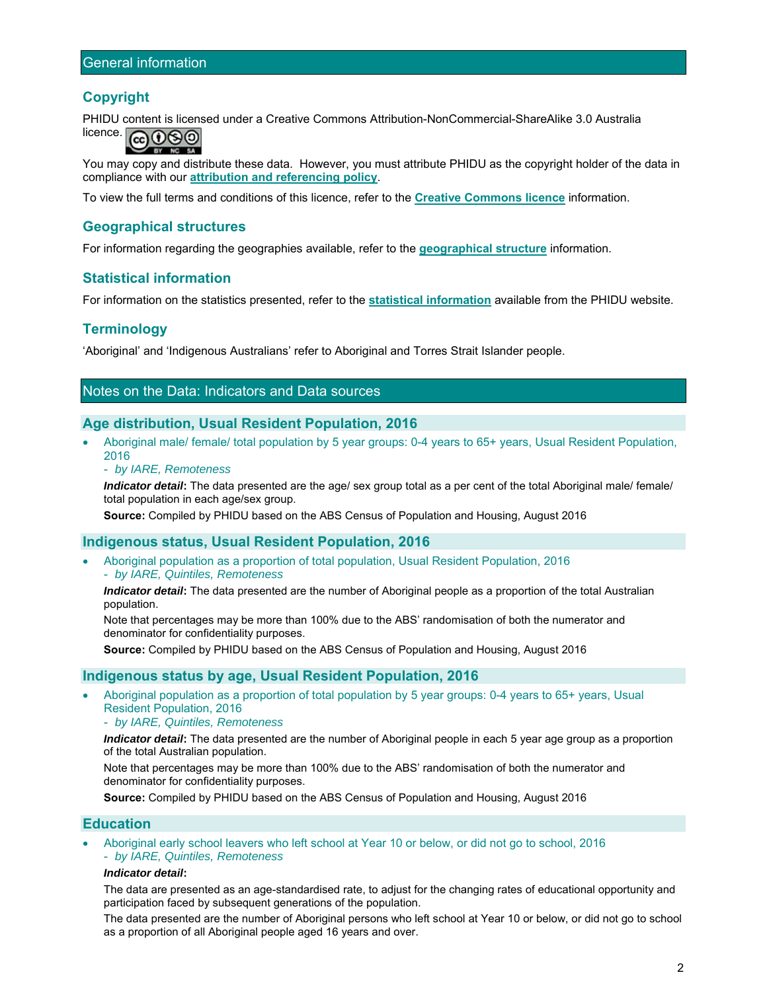# **Copyright**

PHIDU content is licensed under a Creative Commons Attribution-NonCommercial-ShareAlike 3.0 Australia



You may copy and distribute these data. However, you must attribute PHIDU as the copyright holder of the data in compliance with our **attribution and referencing policy**.

To view the full terms and conditions of this licence, refer to the **Creative Commons licence** information.

## **Geographical structures**

For information regarding the geographies available, refer to the **geographical structure** information.

## **Statistical information**

For information on the statistics presented, refer to the **statistical information** available from the PHIDU website.

# **Terminology**

'Aboriginal' and 'Indigenous Australians' refer to Aboriginal and Torres Strait Islander people.

# Notes on the Data: Indicators and Data sources

## **Age distribution, Usual Resident Population, 2016**

- Aboriginal male/ female/ total population by 5 year groups: 0-4 years to 65+ years, Usual Resident Population, 2016
	- *by IARE, Remoteness*

*Indicator detail***:** The data presented are the age/ sex group total as a per cent of the total Aboriginal male/ female/ total population in each age/sex group.

**Source:** Compiled by PHIDU based on the ABS Census of Population and Housing, August 2016

## **Indigenous status, Usual Resident Population, 2016**

 Aboriginal population as a proportion of total population, Usual Resident Population, 2016 - *by IARE, Quintiles, Remoteness* 

*Indicator detail***:** The data presented are the number of Aboriginal people as a proportion of the total Australian population.

Note that percentages may be more than 100% due to the ABS' randomisation of both the numerator and denominator for confidentiality purposes.

**Source:** Compiled by PHIDU based on the ABS Census of Population and Housing, August 2016

#### **Indigenous status by age, Usual Resident Population, 2016**

 Aboriginal population as a proportion of total population by 5 year groups: 0-4 years to 65+ years, Usual Resident Population, 2016

- *by IARE, Quintiles, Remoteness* 

*Indicator detail***:** The data presented are the number of Aboriginal people in each 5 year age group as a proportion of the total Australian population.

Note that percentages may be more than 100% due to the ABS' randomisation of both the numerator and denominator for confidentiality purposes.

**Source:** Compiled by PHIDU based on the ABS Census of Population and Housing, August 2016

## **Education**

 Aboriginal early school leavers who left school at Year 10 or below, or did not go to school, 2016 - *by IARE, Quintiles, Remoteness* 

#### *Indicator detail***:**

The data are presented as an age-standardised rate, to adjust for the changing rates of educational opportunity and participation faced by subsequent generations of the population.

The data presented are the number of Aboriginal persons who left school at Year 10 or below, or did not go to school as a proportion of all Aboriginal people aged 16 years and over.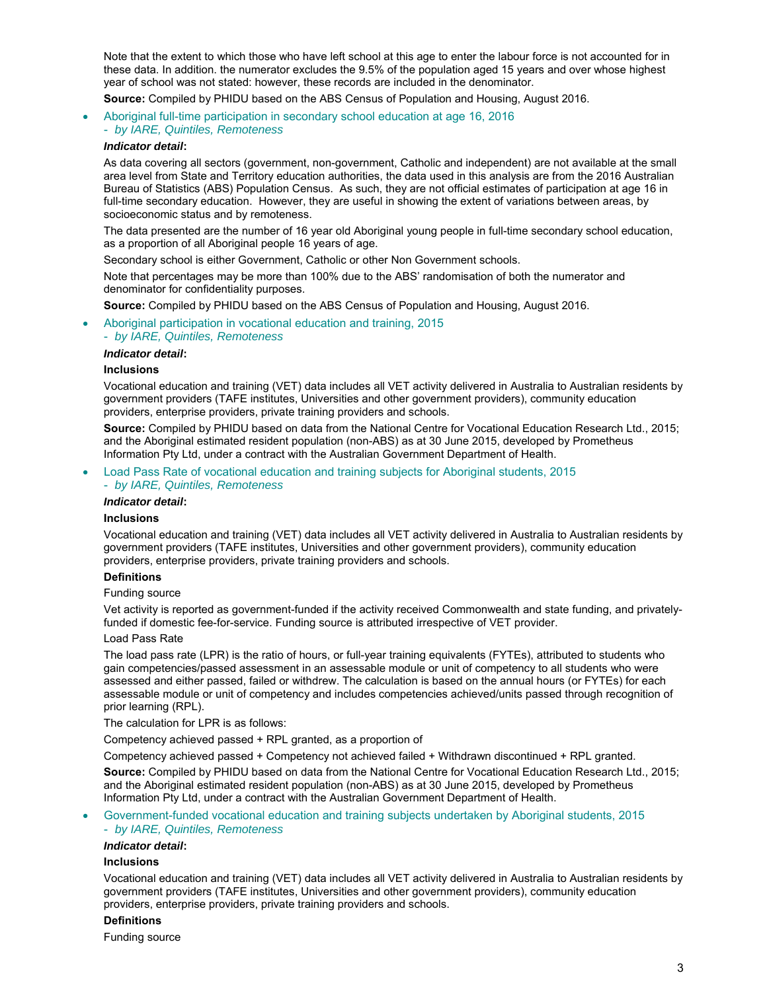Note that the extent to which those who have left school at this age to enter the labour force is not accounted for in these data. In addition. the numerator excludes the 9.5% of the population aged 15 years and over whose highest year of school was not stated: however, these records are included in the denominator.

**Source:** Compiled by PHIDU based on the ABS Census of Population and Housing, August 2016.

 Aboriginal full-time participation in secondary school education at age 16, 2016 - *by IARE, Quintiles, Remoteness* 

#### *Indicator detail***:**

As data covering all sectors (government, non-government, Catholic and independent) are not available at the small area level from State and Territory education authorities, the data used in this analysis are from the 2016 Australian Bureau of Statistics (ABS) Population Census. As such, they are not official estimates of participation at age 16 in full-time secondary education. However, they are useful in showing the extent of variations between areas, by socioeconomic status and by remoteness.

The data presented are the number of 16 year old Aboriginal young people in full-time secondary school education, as a proportion of all Aboriginal people 16 years of age.

Secondary school is either Government, Catholic or other Non Government schools.

Note that percentages may be more than 100% due to the ABS' randomisation of both the numerator and denominator for confidentiality purposes.

**Source:** Compiled by PHIDU based on the ABS Census of Population and Housing, August 2016.

Aboriginal participation in vocational education and training, 2015

- *by IARE, Quintiles, Remoteness* 

#### *Indicator detail***:**

#### **Inclusions**

Vocational education and training (VET) data includes all VET activity delivered in Australia to Australian residents by government providers (TAFE institutes, Universities and other government providers), community education providers, enterprise providers, private training providers and schools.

**Source:** Compiled by PHIDU based on data from the National Centre for Vocational Education Research Ltd., 2015; and the Aboriginal estimated resident population (non-ABS) as at 30 June 2015, developed by Prometheus Information Pty Ltd, under a contract with the Australian Government Department of Health.

Load Pass Rate of vocational education and training subjects for Aboriginal students, 2015

- *by IARE, Quintiles, Remoteness* 

#### *Indicator detail***:**

#### **Inclusions**

Vocational education and training (VET) data includes all VET activity delivered in Australia to Australian residents by government providers (TAFE institutes, Universities and other government providers), community education providers, enterprise providers, private training providers and schools.

#### **Definitions**

#### Funding source

Vet activity is reported as government-funded if the activity received Commonwealth and state funding, and privatelyfunded if domestic fee-for-service. Funding source is attributed irrespective of VET provider.

#### Load Pass Rate

The load pass rate (LPR) is the ratio of hours, or full-year training equivalents (FYTEs), attributed to students who gain competencies/passed assessment in an assessable module or unit of competency to all students who were assessed and either passed, failed or withdrew. The calculation is based on the annual hours (or FYTEs) for each assessable module or unit of competency and includes competencies achieved/units passed through recognition of prior learning (RPL).

The calculation for LPR is as follows:

Competency achieved passed + RPL granted, as a proportion of

Competency achieved passed + Competency not achieved failed + Withdrawn discontinued + RPL granted.

**Source:** Compiled by PHIDU based on data from the National Centre for Vocational Education Research Ltd., 2015; and the Aboriginal estimated resident population (non-ABS) as at 30 June 2015, developed by Prometheus Information Pty Ltd, under a contract with the Australian Government Department of Health.

#### Government-funded vocational education and training subjects undertaken by Aboriginal students, 2015 - *by IARE, Quintiles, Remoteness*

#### *Indicator detail***:**

#### **Inclusions**

Vocational education and training (VET) data includes all VET activity delivered in Australia to Australian residents by government providers (TAFE institutes, Universities and other government providers), community education providers, enterprise providers, private training providers and schools.

#### **Definitions**

Funding source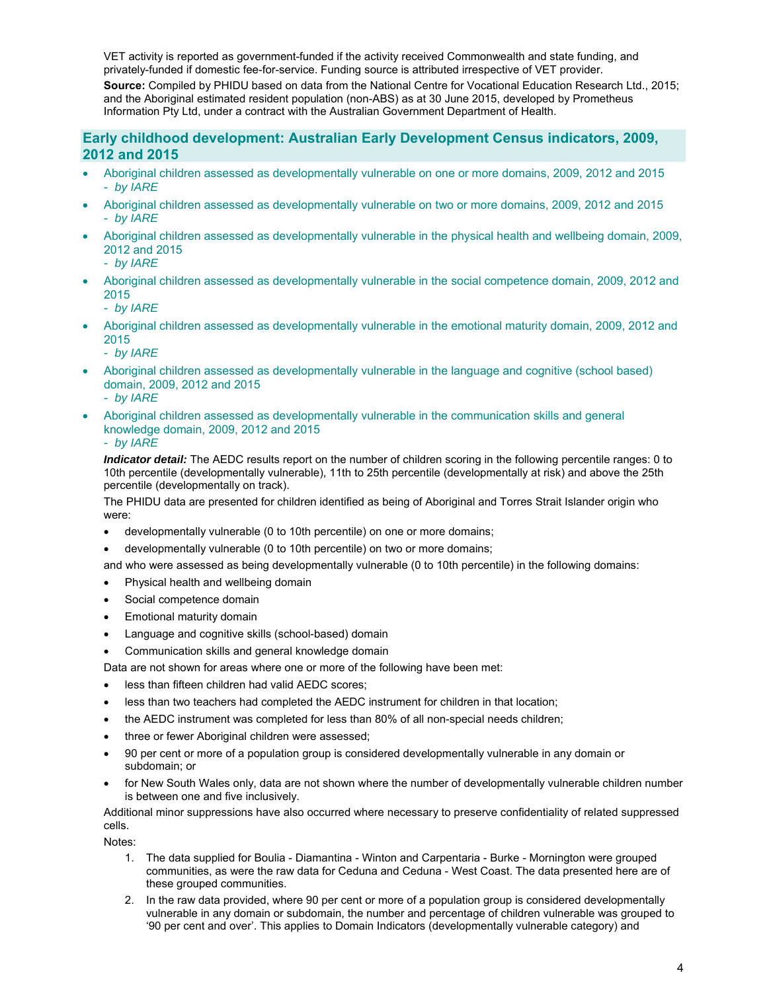VET activity is reported as government-funded if the activity received Commonwealth and state funding, and privately-funded if domestic fee-for-service. Funding source is attributed irrespective of VET provider.

**Source:** Compiled by PHIDU based on data from the National Centre for Vocational Education Research Ltd., 2015; and the Aboriginal estimated resident population (non-ABS) as at 30 June 2015, developed by Prometheus Information Pty Ltd, under a contract with the Australian Government Department of Health.

# **Early childhood development: Australian Early Development Census indicators, 2009, 2012 and 2015**

- Aboriginal children assessed as developmentally vulnerable on one or more domains, 2009, 2012 and 2015 - *by IARE*
- Aboriginal children assessed as developmentally vulnerable on two or more domains, 2009, 2012 and 2015 - *by IARE*
- Aboriginal children assessed as developmentally vulnerable in the physical health and wellbeing domain, 2009, 2012 and 2015
	- *by IARE*
- Aboriginal children assessed as developmentally vulnerable in the social competence domain, 2009, 2012 and 2015
	- *by IARE*
- Aboriginal children assessed as developmentally vulnerable in the emotional maturity domain, 2009, 2012 and 2015
	- *by IARE*
- Aboriginal children assessed as developmentally vulnerable in the language and cognitive (school based) domain, 2009, 2012 and 2015
	- *by IARE*
- Aboriginal children assessed as developmentally vulnerable in the communication skills and general knowledge domain, 2009, 2012 and 2015

- *by IARE* 

*Indicator detail:* The AEDC results report on the number of children scoring in the following percentile ranges: 0 to 10th percentile (developmentally vulnerable), 11th to 25th percentile (developmentally at risk) and above the 25th percentile (developmentally on track).

The PHIDU data are presented for children identified as being of Aboriginal and Torres Strait Islander origin who were:

- developmentally vulnerable (0 to 10th percentile) on one or more domains;
- developmentally vulnerable (0 to 10th percentile) on two or more domains;

and who were assessed as being developmentally vulnerable (0 to 10th percentile) in the following domains:

- Physical health and wellbeing domain
- Social competence domain
- Emotional maturity domain
- Language and cognitive skills (school-based) domain
- Communication skills and general knowledge domain

Data are not shown for areas where one or more of the following have been met:

- less than fifteen children had valid AEDC scores;
- less than two teachers had completed the AEDC instrument for children in that location;
- the AEDC instrument was completed for less than 80% of all non-special needs children;
- three or fewer Aboriginal children were assessed;
- 90 per cent or more of a population group is considered developmentally vulnerable in any domain or subdomain; or
- for New South Wales only, data are not shown where the number of developmentally vulnerable children number is between one and five inclusively.

Additional minor suppressions have also occurred where necessary to preserve confidentiality of related suppressed cells.

Notes:

- 1. The data supplied for Boulia Diamantina Winton and Carpentaria Burke Mornington were grouped communities, as were the raw data for Ceduna and Ceduna - West Coast. The data presented here are of these grouped communities.
- 2. In the raw data provided, where 90 per cent or more of a population group is considered developmentally vulnerable in any domain or subdomain, the number and percentage of children vulnerable was grouped to '90 per cent and over'. This applies to Domain Indicators (developmentally vulnerable category) and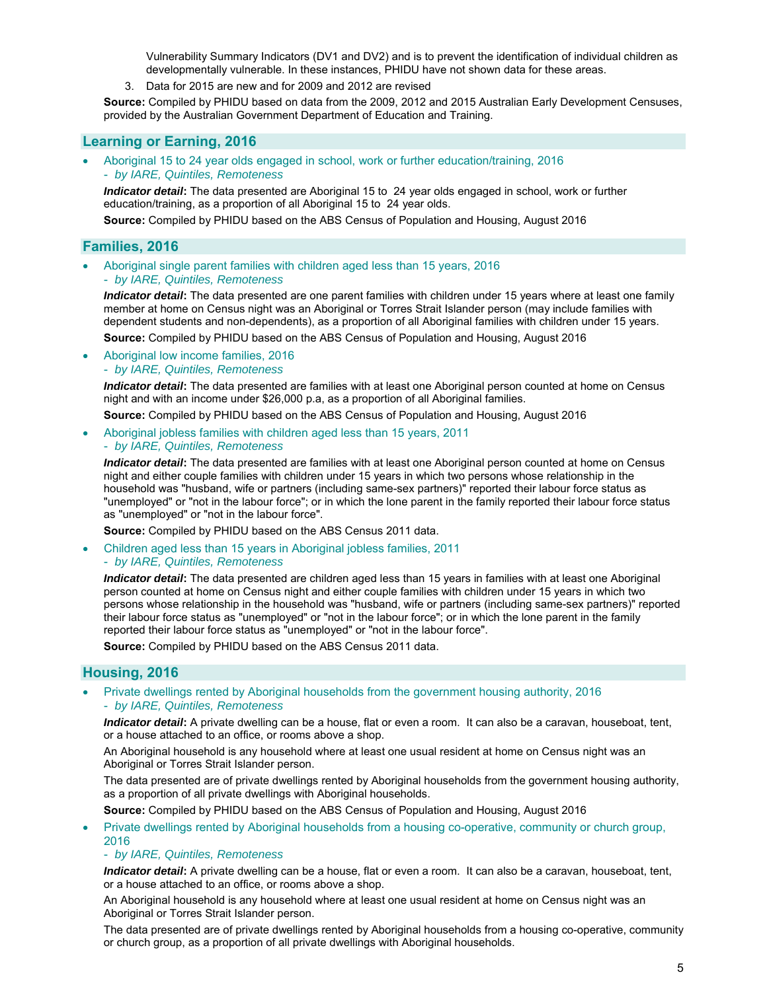Vulnerability Summary Indicators (DV1 and DV2) and is to prevent the identification of individual children as developmentally vulnerable. In these instances, PHIDU have not shown data for these areas.

3. Data for 2015 are new and for 2009 and 2012 are revised

**Source:** Compiled by PHIDU based on data from the 2009, 2012 and 2015 Australian Early Development Censuses, provided by the Australian Government Department of Education and Training.

## **Learning or Earning, 2016**

- Aboriginal 15 to 24 year olds engaged in school, work or further education/training, 2016
- *by IARE, Quintiles, Remoteness*

*Indicator detail***:** The data presented are Aboriginal 15 to 24 year olds engaged in school, work or further education/training, as a proportion of all Aboriginal 15 to 24 year olds.

**Source:** Compiled by PHIDU based on the ABS Census of Population and Housing, August 2016

## **Families, 2016**

 Aboriginal single parent families with children aged less than 15 years, 2016 - *by IARE, Quintiles, Remoteness* 

*Indicator detail***:** The data presented are one parent families with children under 15 years where at least one family member at home on Census night was an Aboriginal or Torres Strait Islander person (may include families with dependent students and non-dependents), as a proportion of all Aboriginal families with children under 15 years.

**Source:** Compiled by PHIDU based on the ABS Census of Population and Housing, August 2016

 Aboriginal low income families, 2016 - *by IARE, Quintiles, Remoteness* 

*Indicator detail***:** The data presented are families with at least one Aboriginal person counted at home on Census night and with an income under \$26,000 p.a, as a proportion of all Aboriginal families.

**Source:** Compiled by PHIDU based on the ABS Census of Population and Housing, August 2016

 Aboriginal jobless families with children aged less than 15 years, 2011 - *by IARE, Quintiles, Remoteness* 

*Indicator detail***:** The data presented are families with at least one Aboriginal person counted at home on Census night and either couple families with children under 15 years in which two persons whose relationship in the household was "husband, wife or partners (including same-sex partners)" reported their labour force status as "unemployed" or "not in the labour force"; or in which the lone parent in the family reported their labour force status as "unemployed" or "not in the labour force".

**Source:** Compiled by PHIDU based on the ABS Census 2011 data.

- Children aged less than 15 years in Aboriginal jobless families, 2011
	- *by IARE, Quintiles, Remoteness*

*Indicator detail***:** The data presented are children aged less than 15 years in families with at least one Aboriginal person counted at home on Census night and either couple families with children under 15 years in which two persons whose relationship in the household was "husband, wife or partners (including same-sex partners)" reported their labour force status as "unemployed" or "not in the labour force"; or in which the lone parent in the family reported their labour force status as "unemployed" or "not in the labour force".

**Source:** Compiled by PHIDU based on the ABS Census 2011 data.

## **Housing, 2016**

 Private dwellings rented by Aboriginal households from the government housing authority, 2016 - *by IARE, Quintiles, Remoteness* 

*Indicator detail***:** A private dwelling can be a house, flat or even a room. It can also be a caravan, houseboat, tent, or a house attached to an office, or rooms above a shop.

An Aboriginal household is any household where at least one usual resident at home on Census night was an Aboriginal or Torres Strait Islander person.

The data presented are of private dwellings rented by Aboriginal households from the government housing authority, as a proportion of all private dwellings with Aboriginal households.

**Source:** Compiled by PHIDU based on the ABS Census of Population and Housing, August 2016

 Private dwellings rented by Aboriginal households from a housing co-operative, community or church group, 2016

#### - *by IARE, Quintiles, Remoteness*

*Indicator detail***:** A private dwelling can be a house, flat or even a room. It can also be a caravan, houseboat, tent, or a house attached to an office, or rooms above a shop.

An Aboriginal household is any household where at least one usual resident at home on Census night was an Aboriginal or Torres Strait Islander person.

The data presented are of private dwellings rented by Aboriginal households from a housing co-operative, community or church group, as a proportion of all private dwellings with Aboriginal households.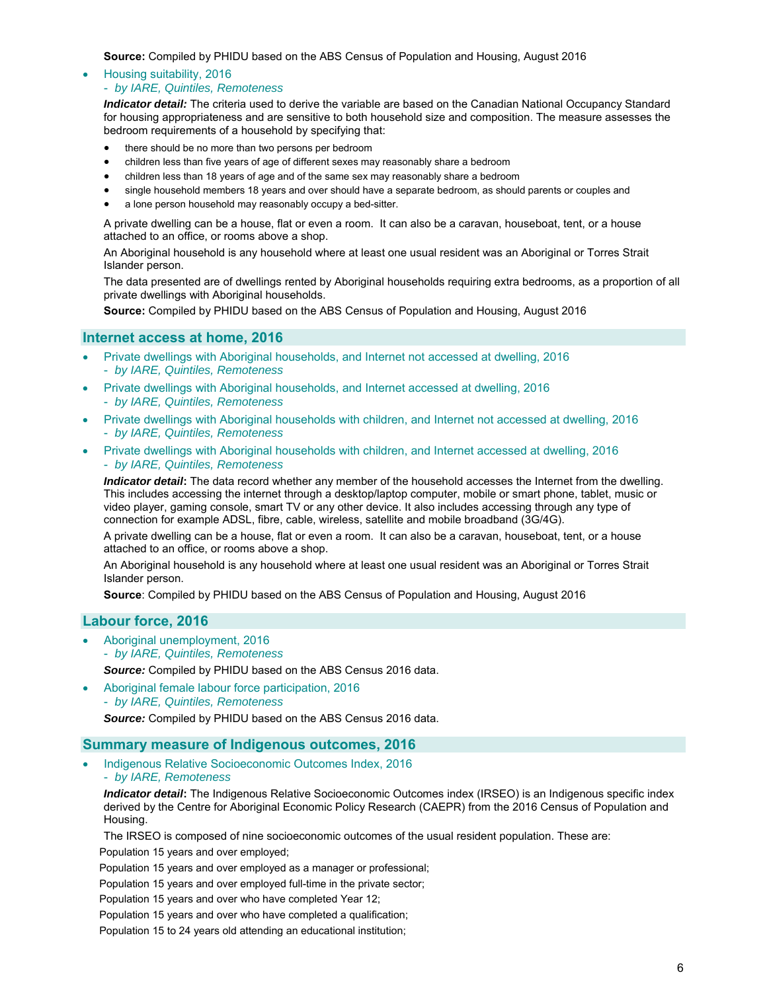**Source:** Compiled by PHIDU based on the ABS Census of Population and Housing, August 2016

#### Housing suitability, 2016

#### - *by IARE, Quintiles, Remoteness*

*Indicator detail:* The criteria used to derive the variable are based on the Canadian National Occupancy Standard for housing appropriateness and are sensitive to both household size and composition. The measure assesses the bedroom requirements of a household by specifying that:

- there should be no more than two persons per bedroom
- children less than five years of age of different sexes may reasonably share a bedroom
- children less than 18 years of age and of the same sex may reasonably share a bedroom
- single household members 18 years and over should have a separate bedroom, as should parents or couples and
- a lone person household may reasonably occupy a bed-sitter.

A private dwelling can be a house, flat or even a room. It can also be a caravan, houseboat, tent, or a house attached to an office, or rooms above a shop.

An Aboriginal household is any household where at least one usual resident was an Aboriginal or Torres Strait Islander person.

The data presented are of dwellings rented by Aboriginal households requiring extra bedrooms, as a proportion of all private dwellings with Aboriginal households.

**Source:** Compiled by PHIDU based on the ABS Census of Population and Housing, August 2016

## **Internet access at home, 2016**

- Private dwellings with Aboriginal households, and Internet not accessed at dwelling, 2016 - *by IARE, Quintiles, Remoteness*
- Private dwellings with Aboriginal households, and Internet accessed at dwelling, 2016
- *by IARE, Quintiles, Remoteness*
- Private dwellings with Aboriginal households with children, and Internet not accessed at dwelling, 2016 - *by IARE, Quintiles, Remoteness*
- Private dwellings with Aboriginal households with children, and Internet accessed at dwelling, 2016 - *by IARE, Quintiles, Remoteness*

*Indicator detail***:** The data record whether any member of the household accesses the Internet from the dwelling. This includes accessing the internet through a desktop/laptop computer, mobile or smart phone, tablet, music or video player, gaming console, smart TV or any other device. It also includes accessing through any type of connection for example ADSL, fibre, cable, wireless, satellite and mobile broadband (3G/4G).

A private dwelling can be a house, flat or even a room. It can also be a caravan, houseboat, tent, or a house attached to an office, or rooms above a shop.

An Aboriginal household is any household where at least one usual resident was an Aboriginal or Torres Strait Islander person.

**Source**: Compiled by PHIDU based on the ABS Census of Population and Housing, August 2016

## **Labour force, 2016**

 Aboriginal unemployment, 2016 - *by IARE, Quintiles, Remoteness Source:* Compiled by PHIDU based on the ABS Census 2016 data.

 Aboriginal female labour force participation, 2016 - *by IARE, Quintiles, Remoteness* 

*Source:* Compiled by PHIDU based on the ABS Census 2016 data.

### **Summary measure of Indigenous outcomes, 2016**

- Indigenous Relative Socioeconomic Outcomes Index, 2016
	- *by IARE, Remoteness*

*Indicator detail*: The Indigenous Relative Socioeconomic Outcomes index (IRSEO) is an Indigenous specific index derived by the Centre for Aboriginal Economic Policy Research (CAEPR) from the 2016 Census of Population and Housing.

The IRSEO is composed of nine socioeconomic outcomes of the usual resident population. These are:

Population 15 years and over employed;

Population 15 years and over employed as a manager or professional;

Population 15 years and over employed full-time in the private sector;

Population 15 years and over who have completed Year 12;

Population 15 years and over who have completed a qualification;

Population 15 to 24 years old attending an educational institution;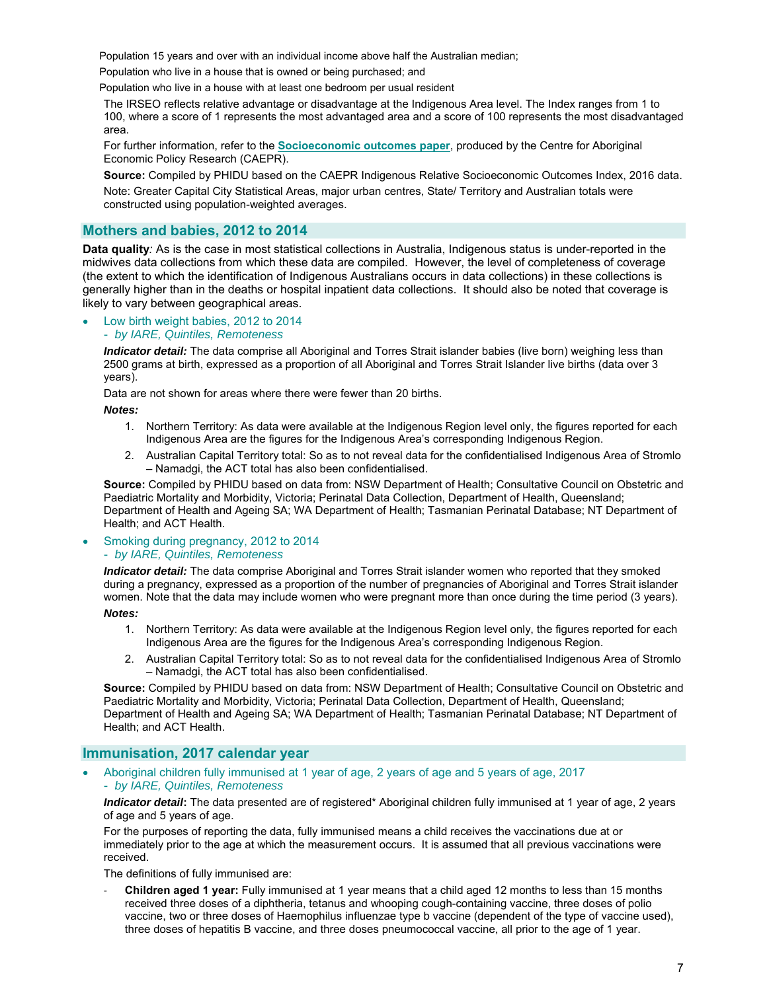Population 15 years and over with an individual income above half the Australian median;

Population who live in a house that is owned or being purchased; and

Population who live in a house with at least one bedroom per usual resident

The IRSEO reflects relative advantage or disadvantage at the Indigenous Area level. The Index ranges from 1 to 100, where a score of 1 represents the most advantaged area and a score of 100 represents the most disadvantaged area.

For further information, refer to the **Socioeconomic outcomes paper**, produced by the Centre for Aboriginal Economic Policy Research (CAEPR).

**Source:** Compiled by PHIDU based on the CAEPR Indigenous Relative Socioeconomic Outcomes Index, 2016 data.

Note: Greater Capital City Statistical Areas, major urban centres, State/ Territory and Australian totals were constructed using population-weighted averages.

## **Mothers and babies, 2012 to 2014**

**Data quality***:* As is the case in most statistical collections in Australia, Indigenous status is under-reported in the midwives data collections from which these data are compiled. However, the level of completeness of coverage (the extent to which the identification of Indigenous Australians occurs in data collections) in these collections is generally higher than in the deaths or hospital inpatient data collections. It should also be noted that coverage is likely to vary between geographical areas.

#### Low birth weight babies, 2012 to 2014

#### - *by IARE, Quintiles, Remoteness*

*Indicator detail:* The data comprise all Aboriginal and Torres Strait islander babies (live born) weighing less than 2500 grams at birth, expressed as a proportion of all Aboriginal and Torres Strait Islander live births (data over 3 years).

Data are not shown for areas where there were fewer than 20 births.

*Notes:* 

- 1. Northern Territory: As data were available at the Indigenous Region level only, the figures reported for each Indigenous Area are the figures for the Indigenous Area's corresponding Indigenous Region.
- 2. Australian Capital Territory total: So as to not reveal data for the confidentialised Indigenous Area of Stromlo – Namadgi, the ACT total has also been confidentialised.

**Source:** Compiled by PHIDU based on data from: NSW Department of Health; Consultative Council on Obstetric and Paediatric Mortality and Morbidity, Victoria; Perinatal Data Collection, Department of Health, Queensland; Department of Health and Ageing SA; WA Department of Health; Tasmanian Perinatal Database; NT Department of Health; and ACT Health.

#### Smoking during pregnancy, 2012 to 2014 - *by IARE, Quintiles, Remoteness*

*Indicator detail:* The data comprise Aboriginal and Torres Strait islander women who reported that they smoked during a pregnancy, expressed as a proportion of the number of pregnancies of Aboriginal and Torres Strait islander women. Note that the data may include women who were pregnant more than once during the time period (3 years).

*Notes:* 

- 1. Northern Territory: As data were available at the Indigenous Region level only, the figures reported for each Indigenous Area are the figures for the Indigenous Area's corresponding Indigenous Region.
- 2. Australian Capital Territory total: So as to not reveal data for the confidentialised Indigenous Area of Stromlo – Namadgi, the ACT total has also been confidentialised.

**Source:** Compiled by PHIDU based on data from: NSW Department of Health; Consultative Council on Obstetric and Paediatric Mortality and Morbidity, Victoria; Perinatal Data Collection, Department of Health, Queensland; Department of Health and Ageing SA; WA Department of Health; Tasmanian Perinatal Database; NT Department of Health; and ACT Health.

## **Immunisation, 2017 calendar year**

 Aboriginal children fully immunised at 1 year of age, 2 years of age and 5 years of age, 2017 - *by IARE, Quintiles, Remoteness* 

*Indicator detail*: The data presented are of registered\* Aboriginal children fully immunised at 1 year of age, 2 years of age and 5 years of age.

For the purposes of reporting the data, fully immunised means a child receives the vaccinations due at or immediately prior to the age at which the measurement occurs. It is assumed that all previous vaccinations were received.

The definitions of fully immunised are:

‐ **Children aged 1 year:** Fully immunised at 1 year means that a child aged 12 months to less than 15 months received three doses of a diphtheria, tetanus and whooping cough-containing vaccine, three doses of polio vaccine, two or three doses of Haemophilus influenzae type b vaccine (dependent of the type of vaccine used), three doses of hepatitis B vaccine, and three doses pneumococcal vaccine, all prior to the age of 1 year.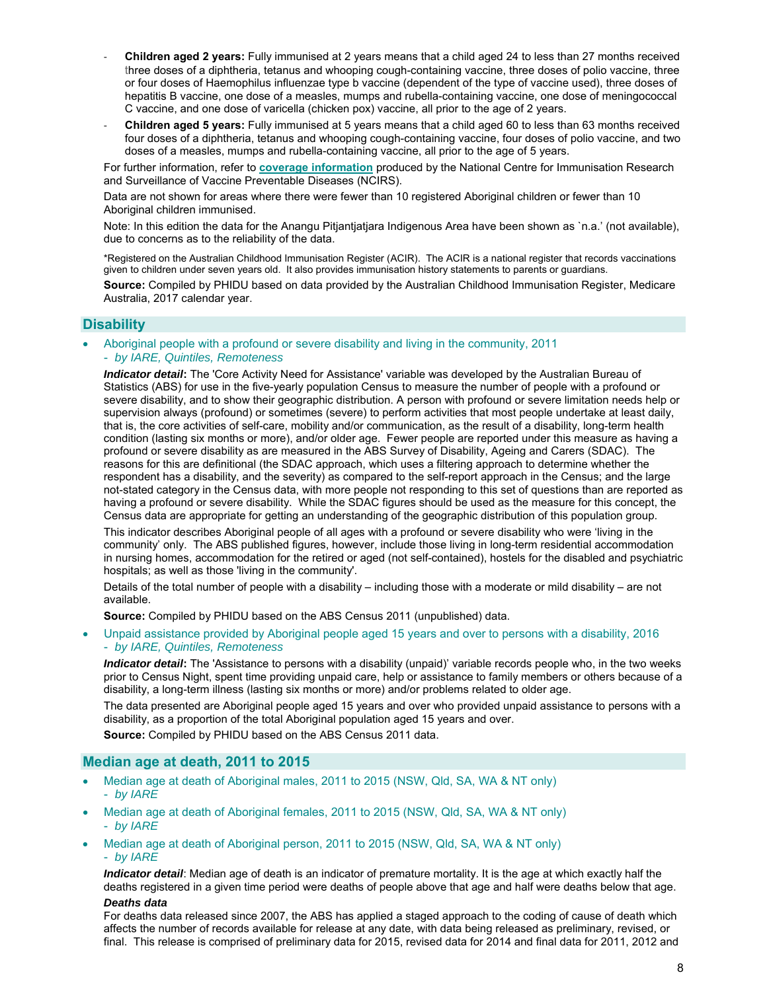- ‐ **Children aged 2 years:** Fully immunised at 2 years means that a child aged 24 to less than 27 months received three doses of a diphtheria, tetanus and whooping cough-containing vaccine, three doses of polio vaccine, three or four doses of Haemophilus influenzae type b vaccine (dependent of the type of vaccine used), three doses of hepatitis B vaccine, one dose of a measles, mumps and rubella-containing vaccine, one dose of meningococcal C vaccine, and one dose of varicella (chicken pox) vaccine, all prior to the age of 2 years.
- ‐ **Children aged 5 years:** Fully immunised at 5 years means that a child aged 60 to less than 63 months received four doses of a diphtheria, tetanus and whooping cough-containing vaccine, four doses of polio vaccine, and two doses of a measles, mumps and rubella-containing vaccine, all prior to the age of 5 years.

For further information, refer to **coverage information** produced by the National Centre for Immunisation Research and Surveillance of Vaccine Preventable Diseases (NCIRS).

Data are not shown for areas where there were fewer than 10 registered Aboriginal children or fewer than 10 Aboriginal children immunised.

Note: In this edition the data for the Anangu Pitjantjatjara Indigenous Area have been shown as `n.a.' (not available), due to concerns as to the reliability of the data.

\*Registered on the Australian Childhood Immunisation Register (ACIR). The ACIR is a national register that records vaccinations given to children under seven years old. It also provides immunisation history statements to parents or guardians.

**Source:** Compiled by PHIDU based on data provided by the Australian Childhood Immunisation Register, Medicare Australia, 2017 calendar year.

## **Disability**

- Aboriginal people with a profound or severe disability and living in the community, 2011
	- *by IARE, Quintiles, Remoteness*

*Indicator detail***:** The 'Core Activity Need for Assistance' variable was developed by the Australian Bureau of Statistics (ABS) for use in the five-yearly population Census to measure the number of people with a profound or severe disability, and to show their geographic distribution. A person with profound or severe limitation needs help or supervision always (profound) or sometimes (severe) to perform activities that most people undertake at least daily, that is, the core activities of self-care, mobility and/or communication, as the result of a disability, long-term health condition (lasting six months or more), and/or older age. Fewer people are reported under this measure as having a profound or severe disability as are measured in the ABS Survey of Disability, Ageing and Carers (SDAC). The reasons for this are definitional (the SDAC approach, which uses a filtering approach to determine whether the respondent has a disability, and the severity) as compared to the self-report approach in the Census; and the large not-stated category in the Census data, with more people not responding to this set of questions than are reported as having a profound or severe disability. While the SDAC figures should be used as the measure for this concept, the Census data are appropriate for getting an understanding of the geographic distribution of this population group.

This indicator describes Aboriginal people of all ages with a profound or severe disability who were 'living in the community' only. The ABS published figures, however, include those living in long-term residential accommodation in nursing homes, accommodation for the retired or aged (not self-contained), hostels for the disabled and psychiatric hospitals; as well as those 'living in the community'.

Details of the total number of people with a disability – including those with a moderate or mild disability – are not available.

**Source:** Compiled by PHIDU based on the ABS Census 2011 (unpublished) data.

 Unpaid assistance provided by Aboriginal people aged 15 years and over to persons with a disability, 2016 - *by IARE, Quintiles, Remoteness* 

*Indicator detail***:** The 'Assistance to persons with a disability (unpaid)' variable records people who, in the two weeks prior to Census Night, spent time providing unpaid care, help or assistance to family members or others because of a disability, a long-term illness (lasting six months or more) and/or problems related to older age.

The data presented are Aboriginal people aged 15 years and over who provided unpaid assistance to persons with a disability, as a proportion of the total Aboriginal population aged 15 years and over.

**Source:** Compiled by PHIDU based on the ABS Census 2011 data.

## **Median age at death, 2011 to 2015**

- Median age at death of Aboriginal males, 2011 to 2015 (NSW, Qld, SA, WA & NT only) - *by IARE*
- Median age at death of Aboriginal females, 2011 to 2015 (NSW, Qld, SA, WA & NT only) - *by IARE*
- Median age at death of Aboriginal person, 2011 to 2015 (NSW, Qld, SA, WA & NT only) - *by IARE*

*Indicator detail*: Median age of death is an indicator of premature mortality. It is the age at which exactly half the deaths registered in a given time period were deaths of people above that age and half were deaths below that age.

#### *Deaths data*

For deaths data released since 2007, the ABS has applied a staged approach to the coding of cause of death which affects the number of records available for release at any date, with data being released as preliminary, revised, or final. This release is comprised of preliminary data for 2015, revised data for 2014 and final data for 2011, 2012 and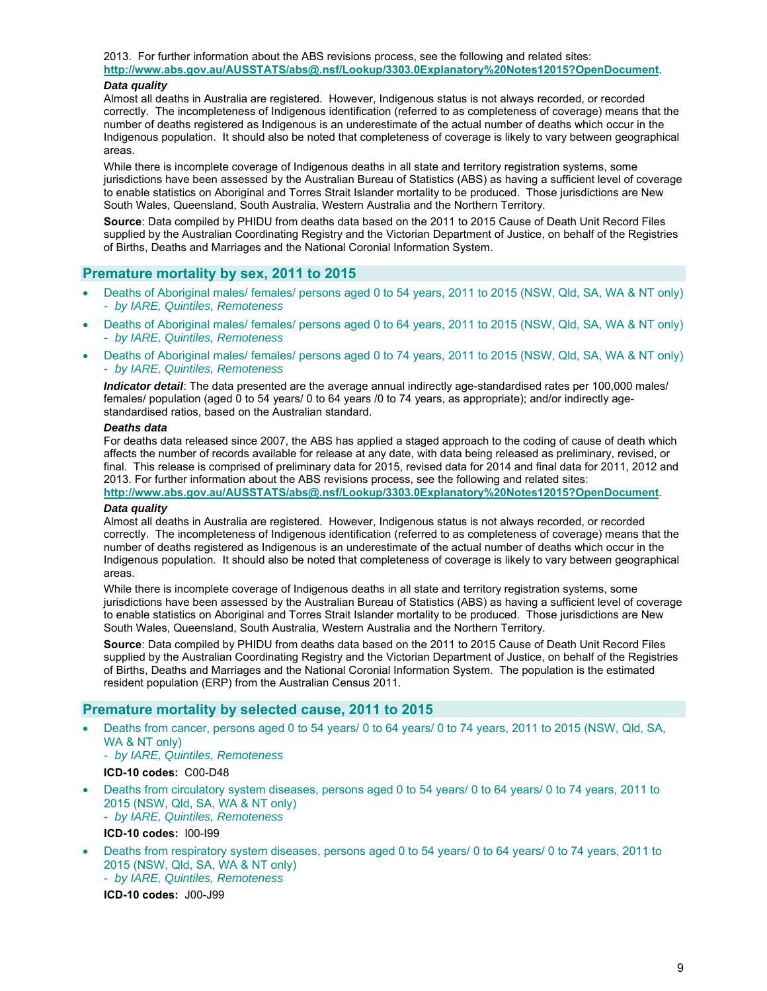2013. For further information about the ABS revisions process, see the following and related sites: **http://www.abs.gov.au/AUSSTATS/abs@.nsf/Lookup/3303.0Explanatory%20Notes12015?OpenDocument**.

#### *Data quality*

Almost all deaths in Australia are registered. However, Indigenous status is not always recorded, or recorded correctly. The incompleteness of Indigenous identification (referred to as completeness of coverage) means that the number of deaths registered as Indigenous is an underestimate of the actual number of deaths which occur in the Indigenous population. It should also be noted that completeness of coverage is likely to vary between geographical areas.

While there is incomplete coverage of Indigenous deaths in all state and territory registration systems, some jurisdictions have been assessed by the Australian Bureau of Statistics (ABS) as having a sufficient level of coverage to enable statistics on Aboriginal and Torres Strait Islander mortality to be produced. Those jurisdictions are New South Wales, Queensland, South Australia, Western Australia and the Northern Territory.

**Source**: Data compiled by PHIDU from deaths data based on the 2011 to 2015 Cause of Death Unit Record Files supplied by the Australian Coordinating Registry and the Victorian Department of Justice, on behalf of the Registries of Births, Deaths and Marriages and the National Coronial Information System.

# **Premature mortality by sex, 2011 to 2015**

- Deaths of Aboriginal males/ females/ persons aged 0 to 54 years, 2011 to 2015 (NSW, Qld, SA, WA & NT only) - *by IARE, Quintiles, Remoteness*
- Deaths of Aboriginal males/ females/ persons aged 0 to 64 years, 2011 to 2015 (NSW, Qld, SA, WA & NT only) - *by IARE, Quintiles, Remoteness*
- Deaths of Aboriginal males/ females/ persons aged 0 to 74 years, 2011 to 2015 (NSW, Qld, SA, WA & NT only) - *by IARE, Quintiles, Remoteness*

*Indicator detail*: The data presented are the average annual indirectly age-standardised rates per 100,000 males/ females/ population (aged 0 to 54 years/ 0 to 64 years /0 to 74 years, as appropriate); and/or indirectly agestandardised ratios, based on the Australian standard.

#### *Deaths data*

For deaths data released since 2007, the ABS has applied a staged approach to the coding of cause of death which affects the number of records available for release at any date, with data being released as preliminary, revised, or final. This release is comprised of preliminary data for 2015, revised data for 2014 and final data for 2011, 2012 and 2013. For further information about the ABS revisions process, see the following and related sites:

**http://www.abs.gov.au/AUSSTATS/abs@.nsf/Lookup/3303.0Explanatory%20Notes12015?OpenDocument**. *Data quality* 

#### Almost all deaths in Australia are registered. However, Indigenous status is not always recorded, or recorded correctly. The incompleteness of Indigenous identification (referred to as completeness of coverage) means that the number of deaths registered as Indigenous is an underestimate of the actual number of deaths which occur in the Indigenous population. It should also be noted that completeness of coverage is likely to vary between geographical areas.

While there is incomplete coverage of Indigenous deaths in all state and territory registration systems, some jurisdictions have been assessed by the Australian Bureau of Statistics (ABS) as having a sufficient level of coverage to enable statistics on Aboriginal and Torres Strait Islander mortality to be produced. Those jurisdictions are New South Wales, Queensland, South Australia, Western Australia and the Northern Territory.

**Source**: Data compiled by PHIDU from deaths data based on the 2011 to 2015 Cause of Death Unit Record Files supplied by the Australian Coordinating Registry and the Victorian Department of Justice, on behalf of the Registries of Births, Deaths and Marriages and the National Coronial Information System. The population is the estimated resident population (ERP) from the Australian Census 2011.

# **Premature mortality by selected cause, 2011 to 2015**

 Deaths from cancer, persons aged 0 to 54 years/ 0 to 64 years/ 0 to 74 years, 2011 to 2015 (NSW, Qld, SA, WA & NT only)

- *by IARE, Quintiles, Remoteness* 

**ICD-10 codes:** C00-D48

- Deaths from circulatory system diseases, persons aged 0 to 54 years/ 0 to 64 years/ 0 to 74 years, 2011 to 2015 (NSW, Qld, SA, WA & NT only)
	- *by IARE, Quintiles, Remoteness*
	- **ICD-10 codes:** I00-I99
- Deaths from respiratory system diseases, persons aged 0 to 54 years/ 0 to 64 years/ 0 to 74 years, 2011 to 2015 (NSW, Qld, SA, WA & NT only) - *by IARE, Quintiles, Remoteness*

**ICD-10 codes:** J00-J99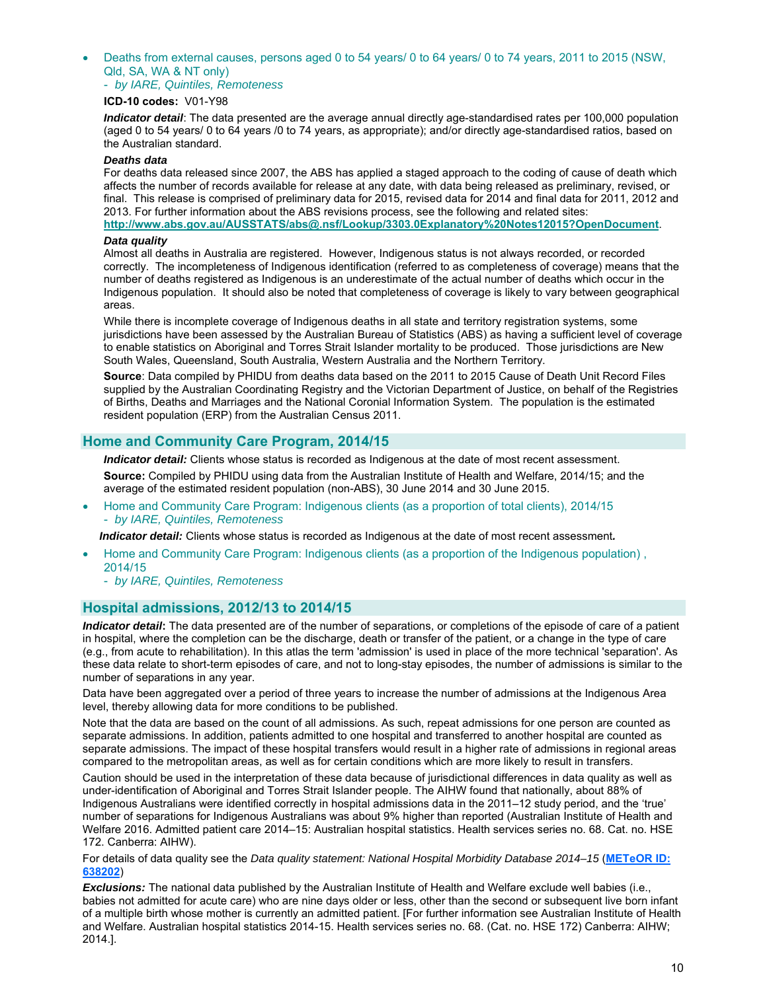Deaths from external causes, persons aged 0 to 54 years/ 0 to 64 years/ 0 to 74 years, 2011 to 2015 (NSW, Qld, SA, WA & NT only)

- *by IARE, Quintiles, Remoteness* 

#### **ICD-10 codes:** V01-Y98

*Indicator detail*: The data presented are the average annual directly age-standardised rates per 100,000 population (aged 0 to 54 years/ 0 to 64 years /0 to 74 years, as appropriate); and/or directly age-standardised ratios, based on the Australian standard.

#### *Deaths data*

For deaths data released since 2007, the ABS has applied a staged approach to the coding of cause of death which affects the number of records available for release at any date, with data being released as preliminary, revised, or final. This release is comprised of preliminary data for 2015, revised data for 2014 and final data for 2011, 2012 and 2013. For further information about the ABS revisions process, see the following and related sites:

**http://www.abs.gov.au/AUSSTATS/abs@.nsf/Lookup/3303.0Explanatory%20Notes12015?OpenDocument**.

## *Data quality*

Almost all deaths in Australia are registered. However, Indigenous status is not always recorded, or recorded correctly. The incompleteness of Indigenous identification (referred to as completeness of coverage) means that the number of deaths registered as Indigenous is an underestimate of the actual number of deaths which occur in the Indigenous population. It should also be noted that completeness of coverage is likely to vary between geographical areas.

While there is incomplete coverage of Indigenous deaths in all state and territory registration systems, some jurisdictions have been assessed by the Australian Bureau of Statistics (ABS) as having a sufficient level of coverage to enable statistics on Aboriginal and Torres Strait Islander mortality to be produced. Those jurisdictions are New South Wales, Queensland, South Australia, Western Australia and the Northern Territory.

**Source**: Data compiled by PHIDU from deaths data based on the 2011 to 2015 Cause of Death Unit Record Files supplied by the Australian Coordinating Registry and the Victorian Department of Justice, on behalf of the Registries of Births, Deaths and Marriages and the National Coronial Information System. The population is the estimated resident population (ERP) from the Australian Census 2011.

## **Home and Community Care Program, 2014/15**

**Indicator detail:** Clients whose status is recorded as Indigenous at the date of most recent assessment.

**Source:** Compiled by PHIDU using data from the Australian Institute of Health and Welfare, 2014/15; and the average of the estimated resident population (non-ABS), 30 June 2014 and 30 June 2015.

 Home and Community Care Program: Indigenous clients (as a proportion of total clients), 2014/15 - *by IARE, Quintiles, Remoteness* 

*Indicator detail:* Clients whose status is recorded as Indigenous at the date of most recent assessment*.* 

- Home and Community Care Program: Indigenous clients (as a proportion of the Indigenous population) , 2014/15
	- *by IARE, Quintiles, Remoteness*

## **Hospital admissions, 2012/13 to 2014/15**

*Indicator detail***:** The data presented are of the number of separations, or completions of the episode of care of a patient in hospital, where the completion can be the discharge, death or transfer of the patient, or a change in the type of care (e.g., from acute to rehabilitation). In this atlas the term 'admission' is used in place of the more technical 'separation'. As these data relate to short-term episodes of care, and not to long-stay episodes, the number of admissions is similar to the number of separations in any year.

Data have been aggregated over a period of three years to increase the number of admissions at the Indigenous Area level, thereby allowing data for more conditions to be published.

Note that the data are based on the count of all admissions. As such, repeat admissions for one person are counted as separate admissions. In addition, patients admitted to one hospital and transferred to another hospital are counted as separate admissions. The impact of these hospital transfers would result in a higher rate of admissions in regional areas compared to the metropolitan areas, as well as for certain conditions which are more likely to result in transfers.

Caution should be used in the interpretation of these data because of jurisdictional differences in data quality as well as under-identification of Aboriginal and Torres Strait Islander people. The AIHW found that nationally, about 88% of Indigenous Australians were identified correctly in hospital admissions data in the 2011–12 study period, and the 'true' number of separations for Indigenous Australians was about 9% higher than reported (Australian Institute of Health and Welfare 2016. Admitted patient care 2014–15: Australian hospital statistics. Health services series no. 68. Cat. no. HSE 172. Canberra: AIHW).

For details of data quality see the *Data quality statement: National Hospital Morbidity Database 2014–15* (**METeOR ID: 638202**)

*Exclusions:* The national data published by the Australian Institute of Health and Welfare exclude well babies (i.e., babies not admitted for acute care) who are nine days older or less, other than the second or subsequent live born infant of a multiple birth whose mother is currently an admitted patient. [For further information see Australian Institute of Health and Welfare. Australian hospital statistics 2014-15. Health services series no. 68. (Cat. no. HSE 172) Canberra: AIHW; 2014.].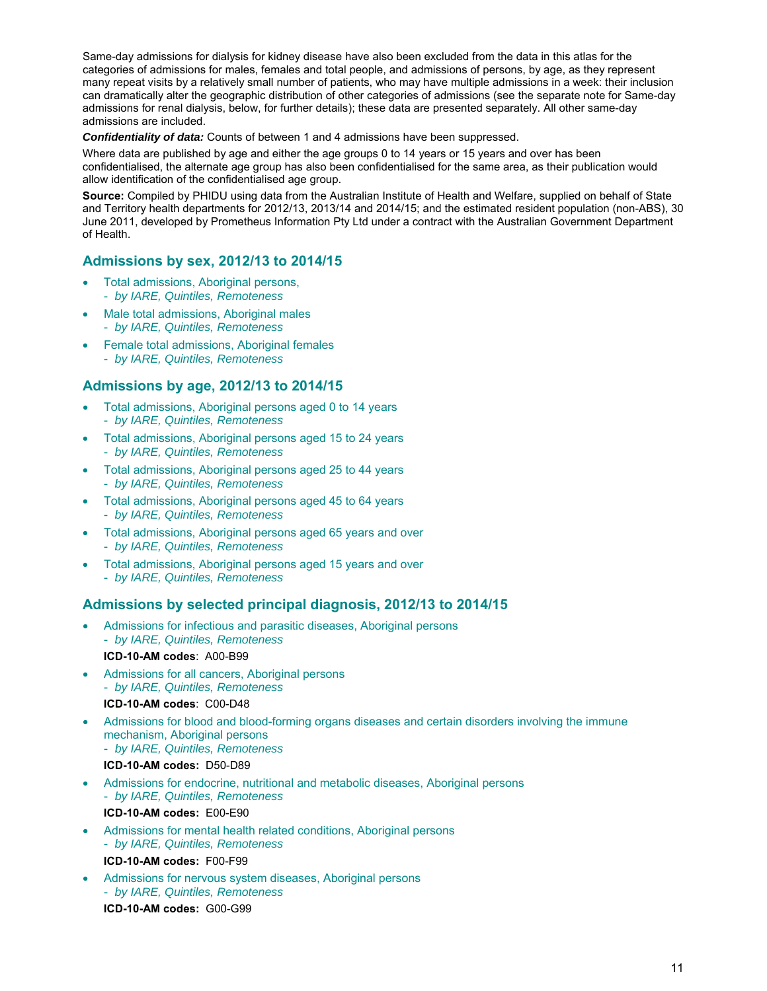Same-day admissions for dialysis for kidney disease have also been excluded from the data in this atlas for the categories of admissions for males, females and total people, and admissions of persons, by age, as they represent many repeat visits by a relatively small number of patients, who may have multiple admissions in a week: their inclusion can dramatically alter the geographic distribution of other categories of admissions (see the separate note for Same-day admissions for renal dialysis, below, for further details); these data are presented separately. All other same-day admissions are included.

*Confidentiality of data:* Counts of between 1 and 4 admissions have been suppressed.

Where data are published by age and either the age groups 0 to 14 years or 15 years and over has been confidentialised, the alternate age group has also been confidentialised for the same area, as their publication would allow identification of the confidentialised age group.

**Source:** Compiled by PHIDU using data from the Australian Institute of Health and Welfare, supplied on behalf of State and Territory health departments for 2012/13, 2013/14 and 2014/15; and the estimated resident population (non-ABS), 30 June 2011, developed by Prometheus Information Pty Ltd under a contract with the Australian Government Department of Health.

# **Admissions by sex, 2012/13 to 2014/15**

- Total admissions, Aboriginal persons,
	- *by IARE, Quintiles, Remoteness*
- Male total admissions, Aboriginal males - *by IARE, Quintiles, Remoteness*
- **•** Female total admissions, Aboriginal females - *by IARE, Quintiles, Remoteness*

## **Admissions by age, 2012/13 to 2014/15**

- Total admissions, Aboriginal persons aged 0 to 14 years
- *by IARE, Quintiles, Remoteness*
- Total admissions, Aboriginal persons aged 15 to 24 years - *by IARE, Quintiles, Remoteness*
- Total admissions, Aboriginal persons aged 25 to 44 years - *by IARE, Quintiles, Remoteness*
- Total admissions, Aboriginal persons aged 45 to 64 years - *by IARE, Quintiles, Remoteness*
- Total admissions, Aboriginal persons aged 65 years and over - *by IARE, Quintiles, Remoteness*
- Total admissions, Aboriginal persons aged 15 years and over
	- *by IARE, Quintiles, Remoteness*

## **Admissions by selected principal diagnosis, 2012/13 to 2014/15**

- Admissions for infectious and parasitic diseases, Aboriginal persons - *by IARE, Quintiles, Remoteness*  **ICD-10-AM codes**: A00-B99
- Admissions for all cancers, Aboriginal persons - *by IARE, Quintiles, Remoteness*  **ICD-10-AM codes**: C00-D48
- Admissions for blood and blood-forming organs diseases and certain disorders involving the immune mechanism, Aboriginal persons - *by IARE, Quintiles, Remoteness* 
	- **ICD-10-AM codes:** D50-D89
- Admissions for endocrine, nutritional and metabolic diseases, Aboriginal persons - *by IARE, Quintiles, Remoteness*  **ICD-10-AM codes:** E00-E90
- Admissions for mental health related conditions, Aboriginal persons - *by IARE, Quintiles, Remoteness* 
	- **ICD-10-AM codes:** F00-F99
- Admissions for nervous system diseases, Aboriginal persons - *by IARE, Quintiles, Remoteness*

**ICD-10-AM codes:** G00-G99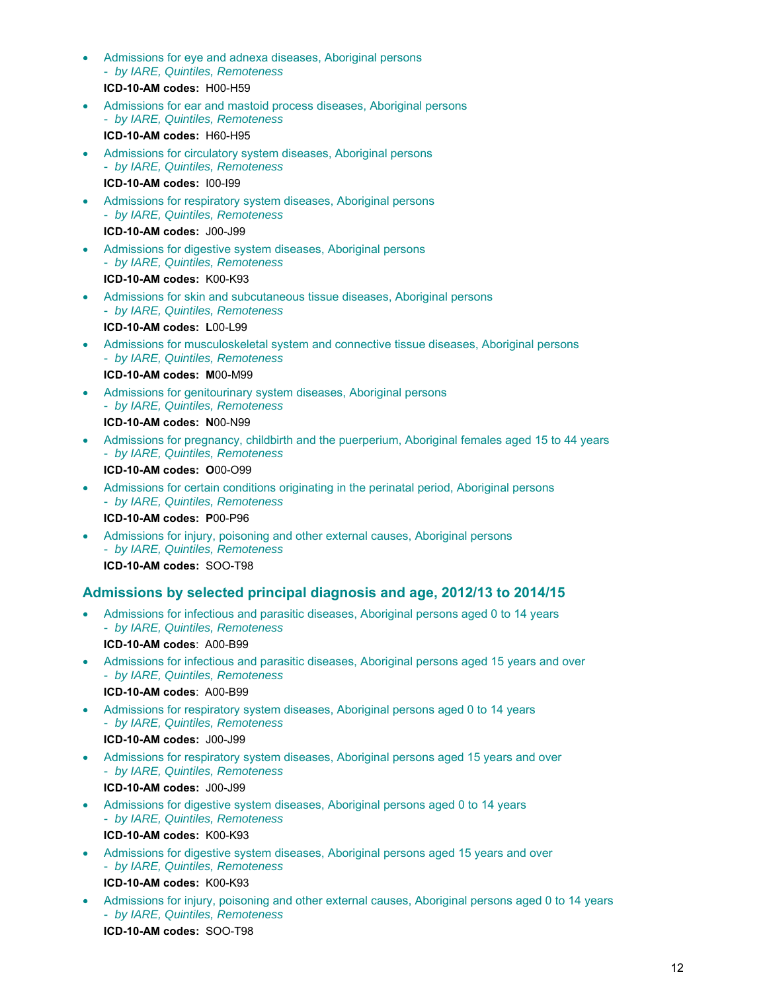- Admissions for eye and adnexa diseases, Aboriginal persons - *by IARE, Quintiles, Remoteness*  **ICD-10-AM codes:** H00-H59
- Admissions for ear and mastoid process diseases, Aboriginal persons - *by IARE, Quintiles, Remoteness*  **ICD-10-AM codes:** H60-H95
- Admissions for circulatory system diseases, Aboriginal persons - *by IARE, Quintiles, Remoteness* 
	- **ICD-10-AM codes:** I00-I99
- Admissions for respiratory system diseases, Aboriginal persons - *by IARE, Quintiles, Remoteness* 
	- **ICD-10-AM codes:** J00-J99
- Admissions for digestive system diseases, Aboriginal persons - *by IARE, Quintiles, Remoteness* 
	- **ICD-10-AM codes:** K00-K93
- Admissions for skin and subcutaneous tissue diseases, Aboriginal persons - *by IARE, Quintiles, Remoteness* 
	- **ICD-10-AM codes: L**00-L99
- Admissions for musculoskeletal system and connective tissue diseases, Aboriginal persons - *by IARE, Quintiles, Remoteness* 
	- **ICD-10-AM codes: M**00-M99
- Admissions for genitourinary system diseases, Aboriginal persons - *by IARE, Quintiles, Remoteness*  **ICD-10-AM codes: N**00-N99
- Admissions for pregnancy, childbirth and the puerperium, Aboriginal females aged 15 to 44 years - *by IARE, Quintiles, Remoteness*  **ICD-10-AM codes: O**00-O99
- Admissions for certain conditions originating in the perinatal period, Aboriginal persons - *by IARE, Quintiles, Remoteness*  **ICD-10-AM codes: P**00-P96
- Admissions for injury, poisoning and other external causes, Aboriginal persons - *by IARE, Quintiles, Remoteness*  **ICD-10-AM codes:** SOO-T98

# **Admissions by selected principal diagnosis and age, 2012/13 to 2014/15**

- Admissions for infectious and parasitic diseases, Aboriginal persons aged 0 to 14 years - *by IARE, Quintiles, Remoteness* 
	- **ICD-10-AM codes**: A00-B99
- Admissions for infectious and parasitic diseases, Aboriginal persons aged 15 years and over - *by IARE, Quintiles, Remoteness* 
	- **ICD-10-AM codes**: A00-B99
- Admissions for respiratory system diseases, Aboriginal persons aged 0 to 14 years - *by IARE, Quintiles, Remoteness* 
	- **ICD-10-AM codes:** J00-J99
- Admissions for respiratory system diseases, Aboriginal persons aged 15 years and over - *by IARE, Quintiles, Remoteness*  **ICD-10-AM codes:** J00-J99
- Admissions for digestive system diseases, Aboriginal persons aged 0 to 14 years - *by IARE, Quintiles, Remoteness*  **ICD-10-AM codes:** K00-K93
- Admissions for digestive system diseases, Aboriginal persons aged 15 years and over - *by IARE, Quintiles, Remoteness*  **ICD-10-AM codes:** K00-K93
- Admissions for injury, poisoning and other external causes, Aboriginal persons aged 0 to 14 years - *by IARE, Quintiles, Remoteness*  **ICD-10-AM codes:** SOO-T98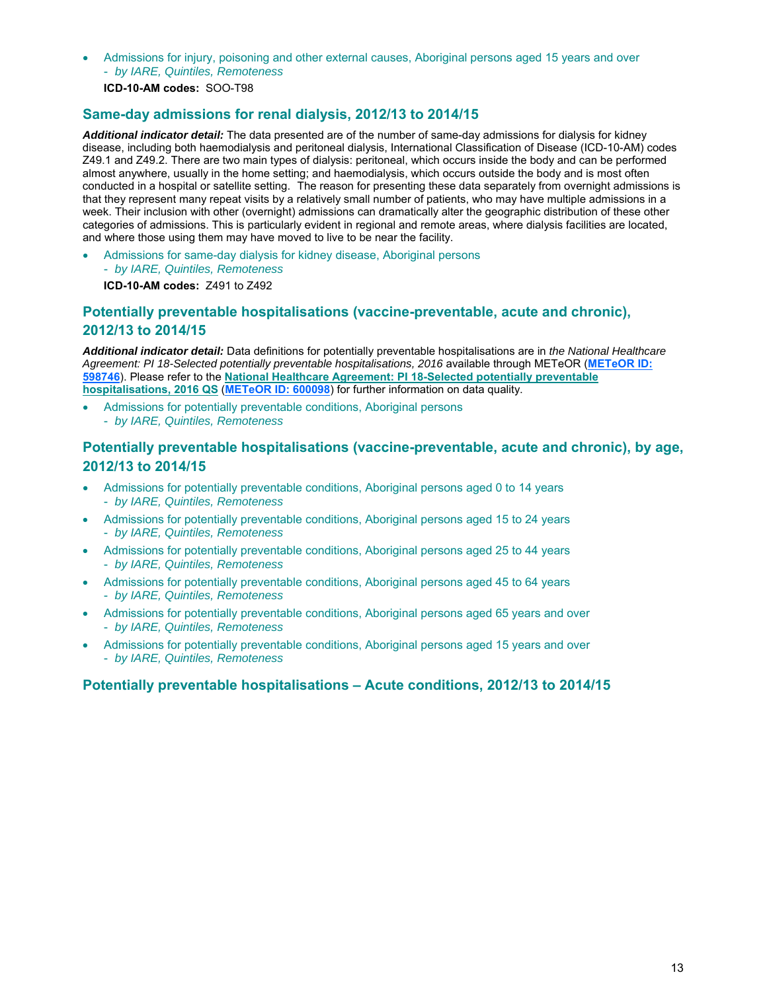- Admissions for injury, poisoning and other external causes, Aboriginal persons aged 15 years and over
	- *by IARE, Quintiles, Remoteness*

**ICD-10-AM codes:** SOO-T98

# **Same-day admissions for renal dialysis, 2012/13 to 2014/15**

*Additional indicator detail:* The data presented are of the number of same-day admissions for dialysis for kidney disease, including both haemodialysis and peritoneal dialysis, International Classification of Disease (ICD-10-AM) codes Z49.1 and Z49.2. There are two main types of dialysis: peritoneal, which occurs inside the body and can be performed almost anywhere, usually in the home setting; and haemodialysis, which occurs outside the body and is most often conducted in a hospital or satellite setting. The reason for presenting these data separately from overnight admissions is that they represent many repeat visits by a relatively small number of patients, who may have multiple admissions in a week. Their inclusion with other (overnight) admissions can dramatically alter the geographic distribution of these other categories of admissions. This is particularly evident in regional and remote areas, where dialysis facilities are located, and where those using them may have moved to live to be near the facility.

- Admissions for same-day dialysis for kidney disease, Aboriginal persons - *by IARE, Quintiles, Remoteness* 
	- **ICD-10-AM codes:** Z491 to Z492

# **Potentially preventable hospitalisations (vaccine-preventable, acute and chronic), 2012/13 to 2014/15**

*Additional indicator detail:* Data definitions for potentially preventable hospitalisations are in *the National Healthcare Agreement: PI 18-Selected potentially preventable hospitalisations, 2016* available through METeOR (**METeOR ID: 598746**). Please refer to the **National Healthcare Agreement: PI 18-Selected potentially preventable hospitalisations, 2016 QS** (**METeOR ID: 600098**) for further information on data quality.

- Admissions for potentially preventable conditions, Aboriginal persons
- *by IARE, Quintiles, Remoteness*

# **Potentially preventable hospitalisations (vaccine-preventable, acute and chronic), by age, 2012/13 to 2014/15**

- Admissions for potentially preventable conditions, Aboriginal persons aged 0 to 14 years - *by IARE, Quintiles, Remoteness*
- Admissions for potentially preventable conditions, Aboriginal persons aged 15 to 24 years - *by IARE, Quintiles, Remoteness*
- Admissions for potentially preventable conditions, Aboriginal persons aged 25 to 44 years - *by IARE, Quintiles, Remoteness*
- Admissions for potentially preventable conditions, Aboriginal persons aged 45 to 64 years - *by IARE, Quintiles, Remoteness*
- Admissions for potentially preventable conditions, Aboriginal persons aged 65 years and over - *by IARE, Quintiles, Remoteness*
- Admissions for potentially preventable conditions, Aboriginal persons aged 15 years and over - *by IARE, Quintiles, Remoteness*

# **Potentially preventable hospitalisations – Acute conditions, 2012/13 to 2014/15**